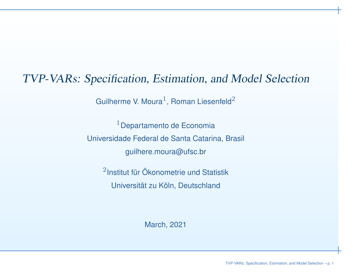## TVP-VARs: Specification, Estimation, and Model Selection

Guilherme V. Moura $^1$ , Roman Liesenfeld $^2$ 

 $<sup>1</sup>$ Departamento de Economia</sup> Universidade Federal de Santa Catarina, Brasil guilhere.moura@ufsc.br

<sup>2</sup>Institut für Ökonometrie und StatistikUniversität zu Köln, Deutschland

March, 2021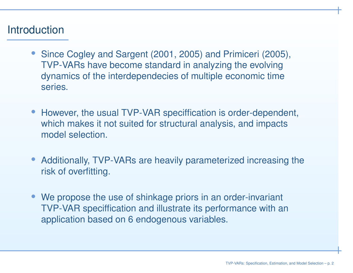#### **Introduction**

- Since Cogley and Sargent (2001, 2005) and Primiceri (2005), TVP-VARs have become standard in analyzing the evolving dynamics of the interdependecies of multiple economic timeseries.
- • However, the usual TVP-VAR speciffication is order-dependent, which makes it not suited for structural analysis, and impactsmodel selection.
- • Additionally, TVP-VARs are heavily parameterized increasing therisk of overfitting.
- We propose the use of shinkage priors in an order-invariant TVP-VAR speciffication and illustrate its performance with an application based on 6 endogenous variables.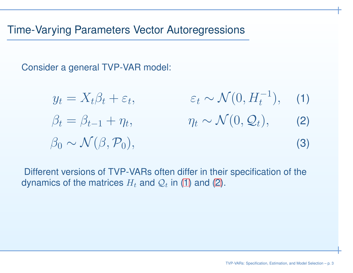# Time-Varying Parameters Vector Autoregressions

Consider <sup>a</sup> general TVP-VAR model:

$$
y_t = X_t \beta_t + \varepsilon_t, \qquad \varepsilon_t \sim \mathcal{N}(0, H_t^{-1}), \quad (1)
$$
  

$$
\beta_t = \beta_{t-1} + \eta_t, \qquad \eta_t \sim \mathcal{N}(0, \mathcal{Q}_t), \quad (2)
$$
  

$$
\beta_0 \sim \mathcal{N}(\beta, \mathcal{P}_0), \qquad (3)
$$

<span id="page-2-2"></span><span id="page-2-1"></span><span id="page-2-0"></span>Different versions of TVP-VARs often differ in their specification of thedynamics of the matrices  $H_t$  and  $\mathcal{Q}_t$  in [\(1](#page-2-0)) and [\(2\)](#page-2-1).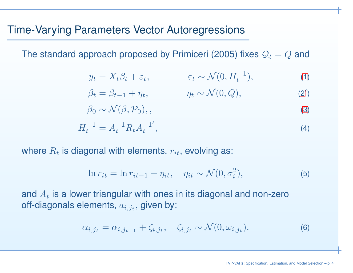## Time-Varying Parameters Vector Autoregressions

The standard approach proposed by Primiceri (2005) fixes  $\mathcal{Q}_t=\mathit{Q}$  and

$$
y_t = X_t \beta_t + \varepsilon_t, \qquad \varepsilon_t \sim \mathcal{N}(0, H_t^{-1}), \qquad (1)
$$

$$
\beta_t = \beta_{t-1} + \eta_t, \qquad \eta_t \sim \mathcal{N}(0, Q), \qquad (2')
$$

$$
\beta_0 \sim \mathcal{N}(\beta, \mathcal{P}_0),\tag{3}
$$

$$
H_t^{-1} = A_t^{-1} R_t A_t^{-1'},\tag{4}
$$

where  $R_t$  is diagonal with elements,  $r_{it}$ , evolving as:

$$
\ln r_{it} = \ln r_{it-1} + \eta_{it}, \quad \eta_{it} \sim \mathcal{N}(0, \sigma_i^2), \tag{5}
$$

and  $A_t$  is a lower triangular with ones in its diagonal and non-zero off-diagonals elements,  $a_{i,j_t}$ , given by:

<span id="page-3-0"></span>
$$
\alpha_{i,j_t} = \alpha_{i,j_{t-1}} + \zeta_{i,j_t}, \quad \zeta_{i,j_t} \sim \mathcal{N}(0, \omega_{i,j_t}). \tag{6}
$$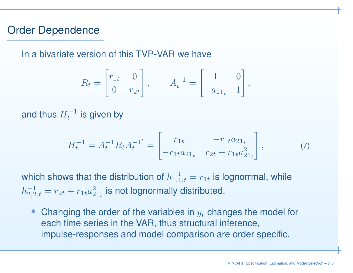#### Order Dependence

In <sup>a</sup> bivariate version of this TVP-VAR we have

$$
R_t = \begin{bmatrix} r_{1t} & 0 \\ 0 & r_{2t} \end{bmatrix}, \qquad A_t^{-1} = \begin{bmatrix} 1 & 0 \\ -a_{21_t} & 1 \end{bmatrix},
$$

and thus  $H_t^{-1}$  is given by

$$
H_t^{-1} = A_t^{-1} R_t A_t^{-1'} = \begin{bmatrix} r_{1t} & -r_{1t} a_{21_t} \\ -r_{1t} a_{21_t} & r_{2t} + r_{1t} a_{21_t}^2 \end{bmatrix}, \tag{7}
$$

which shows that the distribution of  $h_{1,1,t}^{-1} = r_{1t}$  is lognorrmal, while  $h_{2,2,t}^{-1}=r_{2t}+r_{1t}a_{21_{t}}^{2}$  is not lognormally distributed.

•• Changing the order of the variables in  $y_t$  changes the model for each time series in the VAR, thus structural inference, impulse-responses and model comparison are order specific.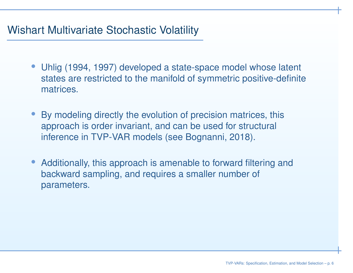# Wishart Multivariate Stochastic Volatility

- • Uhlig (1994, 1997) developed <sup>a</sup> state-space model whose latent states are restricted to the manifold of symmetric positive-definitematrices.
- • By modeling directly the evolution of precision matrices, thisapproach is order invariant, and can be used for structural inference in TVP-VAR models (see Bognanni, 2018).
- • Additionally, this approach is amenable to forward filtering andbackward sampling, and requires <sup>a</sup> smaller number of parameters.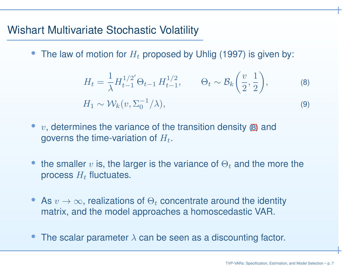## Wishart Multivariate Stochastic Volatility

• The law of motion for  $H_t$  proposed by Uhlig (1997) is given by:

$$
H_t = \frac{1}{\lambda} H_{t-1}^{1/2'} \Theta_{t-1} H_{t-1}^{1/2}, \qquad \Theta_t \sim \mathcal{B}_k \left( \frac{v}{2}, \frac{1}{2} \right), \qquad (8)
$$

$$
H_1 \sim \mathcal{W}_k(v, \Sigma_0^{-1}/\lambda), \qquad (9)
$$

- • $v$ , determines the variance of the transition density ([8\)](#page-6-0) and governs the time-variation of  $H_t.$
- •• the smaller  $v$  is, the larger is the variance of  $\Theta_t$  and the more the process  $H_t$  fluctuates.
- As  $v \to \infty$ , realizations of  $\Theta_t$  concentrate around the identity metrix and the model engrasches a homogenedectic VAD matrix, and the model approaches <sup>a</sup> homoscedastic VAR.
- <span id="page-6-0"></span>• The scalar parameter  $\lambda$  can be seen as a discounting factor.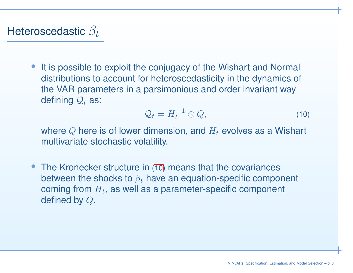# Heteroscedastic  $\beta_t$

• It is possible to exploit the conjugacy of the Wishart and Normal distributions to account for heteroscedasticity in the dynamics of the VAR parameters in <sup>a</sup> parsimonious and order invariant waydefining  $\mathcal{Q}_t$  as:

$$
\mathcal{Q}_t = H_t^{-1} \otimes Q,\tag{10}
$$

where  $Q$  here is of lower dimension, and  $H_t$  evolves as a Wishart  $m$  diversion at a homomorpoon  $H_t$ multivariate stochastic volatility.

<span id="page-7-0"></span>•• The Kronecker structure in ([10](#page-7-0)) means that the covariances between the shocks to  $\beta_t$  have an equation-specific component coming from  $H_t$ , as well as a parameter-specific component<br>defined by  $\varOmega$ defined by  $Q_\cdot$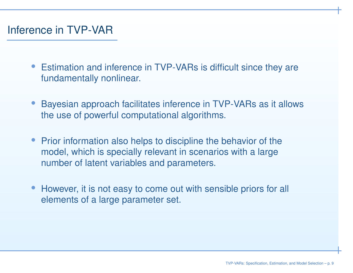# Inference in TVP-VAR

- • Estimation and inference in TVP-VARs is difficult since they arefundamentally nonlinear.
- • Bayesian approach facilitates inference in TVP-VARs as it allowsthe use of powerful computational algorithms.
- • Prior information also helps to discipline the behavior of the model, which is specially relevant in scenarios with <sup>a</sup> largenumber of latent variables and parameters.
- • However, it is not easy to come out with sensible priors for all elements of <sup>a</sup> large parameter set.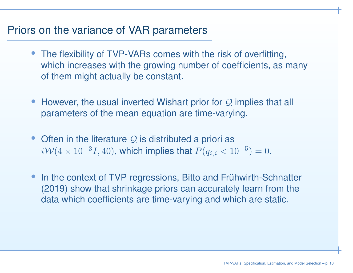#### Priors on the variance of VAR parameters

- The flexibility of TVP-VARs comes with the risk of overfitting, which increases with the growing number of coefficients, as many of them might actually be constant.
- •• However, the usual inverted Wishart prior for  $Q$  implies that all normalism of the mean equation are time verying parameters of the mean equation are time-varying.
- Often in the literature  $Q$  is distributed a priori as  $i {\cal W} (4 \times 10^{-3} I, 40)$ , which implies that  $P(q_{i,i} < 10^{-5}) = 0.$
- • In the context of TVP regressions, Bitto and Frühwirth-Schnatter(2019) show that shrinkage priors can accurately learn from the<br>data which esofficients are time verying and which are station data which coefficients are time-varying and which are static.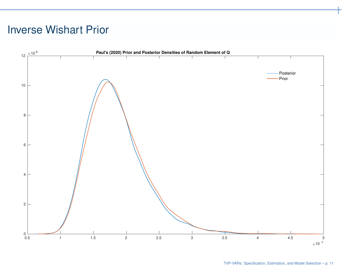# Inverse Wishart Prior

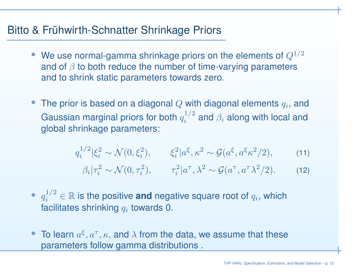#### Bitto & Frühwirth-Schnatter Shrinkage Priors

- We use normal-gamma shrinkage priors on the elements of  $Q^1$ and of  $\beta$  to both reduce the number of time-varying parameters  $\frac{1}{\sqrt{2}}$ 2and to shrink static parameters towards zero.
- The prior is based on a diagonal  $Q$  with diagonal elements  $q_i$ , and Gaussian marginal priors for both  $q_i^{1/2}$  and  $\beta_i$  along with local and 1 $\frac{1}{\cdot}$ 2 $i^{1/2}$  and  $\beta_i$  along with local and global shrinkage parameters:

$$
q_i^{1/2} |\xi_i^2 \sim \mathcal{N}(0, \xi_i^2), \qquad \xi_i^2 | a^{\xi}, \kappa^2 \sim \mathcal{G}(a^{\xi}, a^{\xi} \kappa^2/2), \tag{11}
$$

$$
\beta_i|\tau_i^2 \sim \mathcal{N}(0,\tau_i^2), \qquad \tau_i^2|a^\tau,\lambda^2 \sim \mathcal{G}(a^\tau,a^\tau\lambda^2/2). \tag{12}
$$

- $\bullet$  q facilitates shrinking  $q_i$  towards 0. 1 $\frac{1}{\cdot}$ 2 $i^{1/2} \in \mathbb{R}$  is the positive and negative square root of  $q_i$ , which
- To learn  $a^{\xi}$  parameters follow gamma distributions . ,  $a^\tau, \kappa,$  and  $\lambda$  from the data, we assume that these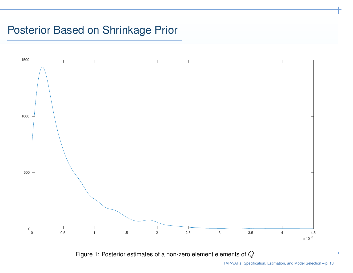# Posterior Based on Shrinkage Prior



Figure 1: Posterior estimates of a non-zero element elements of  $Q.$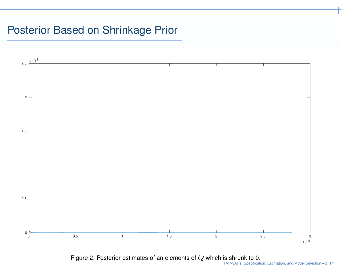# Posterior Based on Shrinkage Prior



Figure 2: Posterior estimates of an elements of  $Q$  which is shrunk to 0.<br>TVP-VARs: Specificat

TVP-VARs: Specification, Estimation, and Model Selection – p. <sup>14</sup>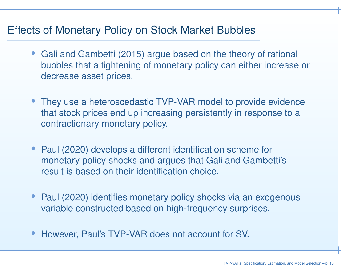# Effects of Monetary Policy on Stock Market Bubbles

- • Gali and Gambetti (2015) argue based on the theory of rational bubbles that <sup>a</sup> tightening of monetary policy can either increase ordecrease asset prices.
- They use <sup>a</sup> heteroscedastic TVP-VAR model to provide evidence that stock prices end up increasing persistently in response to <sup>a</sup>contractionary monetary policy.
- • Paul (2020) develops <sup>a</sup> different identification scheme formonetary policy shocks and argues that Gali and Gambetti'sresult is based on their identification choice.
- • Paul (2020) identifies monetary policy shocks via an exogenousvariable constructed based on high-frequency surprises.
- •However, Paul's TVP-VAR does not account for SV.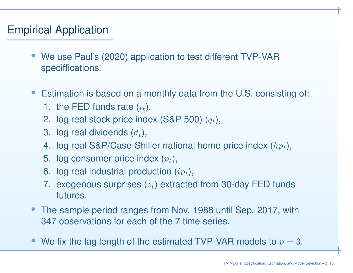# Empirical Application

- • We use Paul's (2020) application to test different TVP-VARspeciffications.
- $\bullet$  Estimation is based on <sup>a</sup> monthly data from the U.S. consisting of:
	- 1. the FED funds rate  $(i_t)$ ,
	- 2. log real stock price index (S&P 500)  $(q_t)$ ,
	- 3. log real dividends  $(d_t)$ ,
	- 4. log real S&P/Case-Shiller national home price index  $(h p_t)$ ,
	- 5. log consumer price index  $(p_t)$ ,
	- 6. log real industrial production  $(ip<sub>t</sub>)$ ,
	- 7. exogenous surprises  $(z_t)$  extracted from 30-day FED funds futures.
- The sample period ranges from Nov. 1988 until Sep. 2017, with347 observations for each of the 7 time series.
- •• We fix the lag length of the estimated TVP-VAR models to  $p=3$ .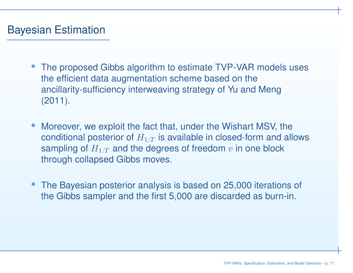# Bayesian Estimation

- The proposed Gibbs algorithm to estimate TVP-VAR models usesthe efficient data augmentation scheme based on the ancillarity-sufficiency interweaving strategy of Yu and Meng(2011).
- • Moreover, we exploit the fact that, under the Wishart MSV, theconditional posterior of  $H_{1:T}$  is available in closed-form and allows sampling of  $H_{1:T}$  and the degrees of freedom  $v$  in one block<br>through collareed Gibbs mayos through collapsed Gibbs moves.
- • The Bayesian posterior analysis is based on 25,000 iterations of the Gibbs sampler and the first 5,000 are discarded as burn-in.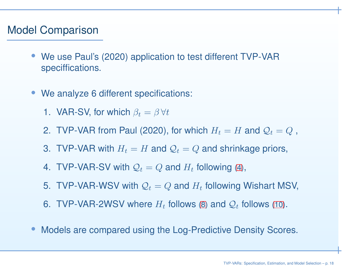#### Model Comparison

- We use Paul's (2020) application to test different TVP-VARspeciffications.
- We analyze 6 different specifications:
	- 1. VAR-SV, for which  $\beta_t = \beta \,\forall t$
	- 2. TVP-VAR from Paul (2020), for which  $H_t=H$  and  $\mathcal{Q}_t=Q$  ,
	- 3. TVP-VAR with  $H_t=H$  and  $\mathcal{Q}_t=Q$  and shrinkage priors,
	- 4. TVP-VAR-SV with  $\mathcal{Q}_t = Q$  and  $H_t$  following [\(4](#page-3-0)),
	- 5. <code>TVP-VAR-WSV</code> with  $\mathcal{Q}_t = Q$  and  $H_t$  following Wishart MSV,
	- 6. TVP-VAR-2WSV where  $H_t$  follows [\(8\)](#page-6-0) and  $\mathcal{Q}_t$  follows [\(10\)](#page-7-0).
- •Models are compared using the Log-Predictive Density Scores.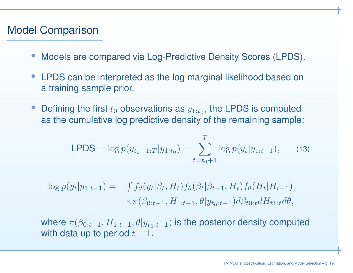## Model Comparison

- •Models are compared via Log-Predictive Density Scores (LPDS).
- LPDS can be interpreted as the log marginal likelihood based on <sup>a</sup> training sample prior.
- •• Defining the first  $t_0$  observations as  $y_{1:t_0}$ , the LPDS is computed as the cumulative log predictive density of the remaining sample:

$$
\text{LPDS} = \log p(y_{t_0+1:T}|y_{1:t_0}) = \sum_{t=t_0+1}^{T} \log p(y_t|y_{1:t-1}), \quad (13)
$$

$$
\log p(y_t|y_{1:t-1}) = \int f_{\theta}(y_t|\beta_t, H_t) f_{\theta}(\beta_t|\beta_{t-1}, H_t) f_{\theta}(H_t|H_{t-1})
$$
  
 
$$
\times \pi(\beta_{0:t-1}, H_{1:t-1}, \theta|y_{t_0:t-1}) d\beta_{t_0:t} dH_{t_1:t} d\theta,
$$

where  $\pi(\beta_{0:t-1}, H_{1:t-1}, \theta | y_{t_0:t-1})$  is the posterior density computed with data up to period  $t-1.$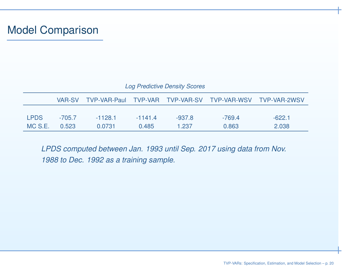| <b>Log Predictive Density Scores</b> |          |           |           |          |          |                                                          |
|--------------------------------------|----------|-----------|-----------|----------|----------|----------------------------------------------------------|
|                                      | VAR-SV   |           |           |          |          | TVP-VAR-Paul TVP-VAR TVP-VAR-SV TVP-VAR-WSV TVP-VAR-2WSV |
| <b>LPDS</b>                          | $-705.7$ | $-1128.1$ | $-1141.4$ | $-937.8$ | $-769.4$ | $-622.1$                                                 |
| MC S.E.                              | 0.523    | 0.0731    | 0.485     | 1.237    | 0.863    | 2.038                                                    |

LPDS computed between Jan. 1993 until Sep. 2017 using data from Nov. *1988 to Dec. 1992 as <sup>a</sup> training sample.*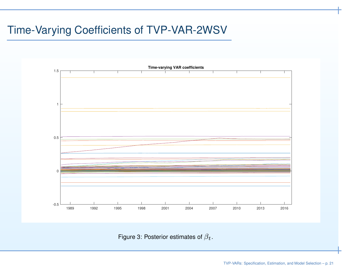# Time-Varying Coefficients of TVP-VAR-2WSV



Figure 3: Posterior estimates of  $\beta_t.$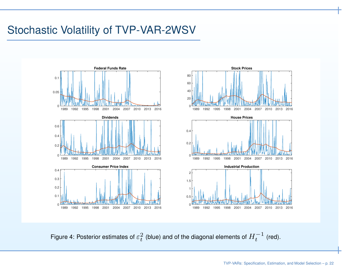# Stochastic Volatility of TVP-VAR-2WSV





Figure 4: Posterior estimates of  $\varepsilon_t^2$  $\frac{2}{t}$  (blue) and of the diagonal elements of  $H_t^-$ 1 $t^{\text{t}}$  (red).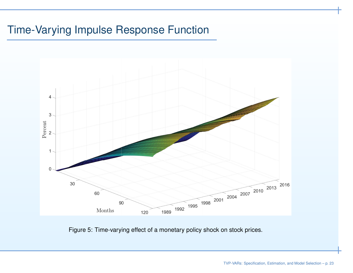# Time-Varying Impulse Response Function



Figure 5: Time-varying effect of <sup>a</sup> monetary policy shock on stock prices.